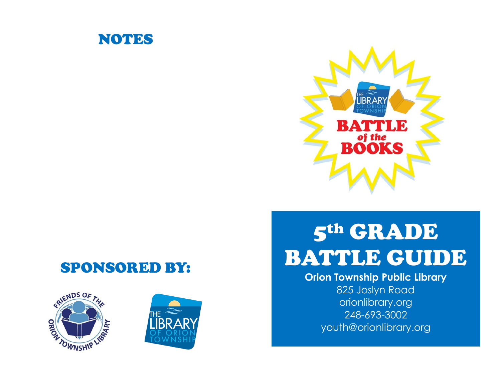



### SPONSORED BY:





# 5th GRADE BATTLE GUIDE

**Orion Township Public Library**

825 Joslyn Road orionlibrary.org 248-693-3002 youth@orionlibrary.org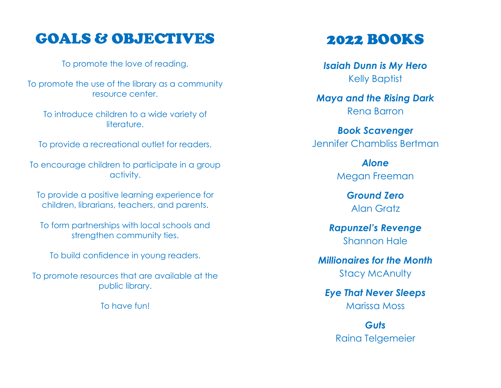### GOALS & OBJECTIVES

To promote the love of reading.

To promote the use of the library as a community resource center.

To introduce children to a wide variety of literature.

To provide a recreational outlet for readers.

To encourage children to participate in a group activity.

To provide a positive learning experience for children, librarians, teachers, and parents.

To form partnerships with local schools and strengthen community ties.

To build confidence in young readers.

To promote resources that are available at the public library.

To have fun!

### 2022 BOOKS

*Isaiah Dunn is My Hero* Kelly Baptist

*Maya and the Rising Dark* Rena Barron

*Book Scavenger* Jennifer Chambliss Bertman

> *Alone* Megan Freeman

> > *Ground Zero* Alan Gratz

*Rapunzel's Revenge* Shannon Hale

*Millionaires for the Month* Stacy McAnulty

*Eye That Never Sleeps* Marissa Moss

> *Guts* Raina Telgemeier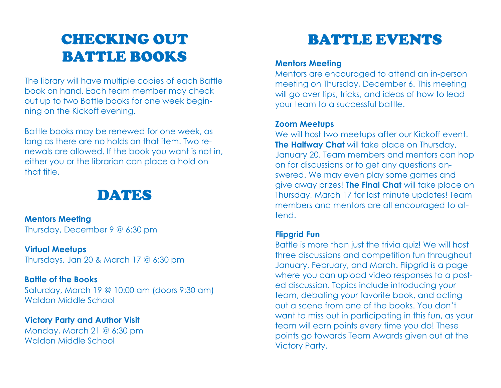# CHECKING OUT BATTLE BOOKS

The library will have multiple copies of each Battle book on hand. Each team member may check out up to two Battle books for one week beginning on the Kickoff evening.

Battle books may be renewed for one week, as long as there are no holds on that item. Two renewals are allowed. If the book you want is not in, either you or the librarian can place a hold on that title.

### DATES

#### **Mentors Meeting**

Thursday, December 9 @ 6:30 pm

#### **Virtual Meetups**

Thursdays, Jan 20 & March 17 @ 6:30 pm

#### **Battle of the Books**

Saturday, March 19 @ 10:00 am (doors 9:30 am) Waldon Middle School

#### **Victory Party and Author Visit**

Monday, March 21 @ 6:30 pm Waldon Middle School

# BATTLE EVENTS

#### **Mentors Meeting**

Mentors are encouraged to attend an in-person meeting on Thursday, December 6. This meeting will go over tips, tricks, and ideas of how to lead your team to a successful battle.

#### **Zoom Meetups**

We will host two meetups after our Kickoff event. **The Halfway Chat** will take place on Thursday, January 20. Team members and mentors can hop on for discussions or to get any questions answered. We may even play some games and give away prizes! **The Final Chat** will take place on Thursday, March 17 for last minute updates! Team members and mentors are all encouraged to attend.

#### **Flipgrid Fun**

Battle is more than just the trivia quiz! We will host three discussions and competition fun throughout January, February, and March. Flipgrid is a page where you can upload video responses to a posted discussion. Topics include introducing your team, debating your favorite book, and acting out a scene from one of the books. You don't want to miss out in participating in this fun, as your team will earn points every time you do! These points go towards Team Awards given out at the Victory Party.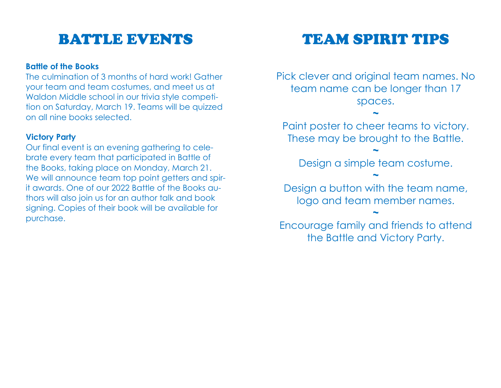## BATTLE EVENTS

#### **Battle of the Books**

The culmination of 3 months of hard work! Gather your team and team costumes, and meet us at Waldon Middle school in our trivia style competition on Saturday, March 19. Teams will be quizzed on all nine books selected.

#### **Victory Party**

Our final event is an evening gathering to celebrate every team that participated in Battle of the Books, taking place on Monday, March 21. We will announce team top point getters and spirit awards. One of our 2022 Battle of the Books authors will also join us for an author talk and book signing. Copies of their book will be available for purchase.

## TEAM SPIRIT TIPS

Pick clever and original team names. No team name can be longer than 17 spaces.

Paint poster to cheer teams to victory. These may be brought to the Battle.

**~**

**~**

Design a simple team costume. **~**

Design a button with the team name, logo and team member names.

Encourage family and friends to attend the Battle and Victory Party.

**~**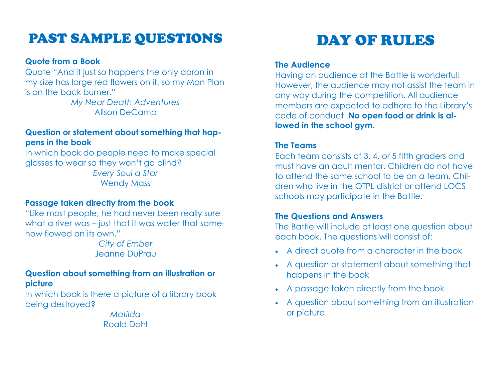### PAST SAMPLE QUESTIONS

#### **Quote from a Book**

Quote "And it just so happens the only apron in my size has large red flowers on it, so my Man Plan is on the back burner."

> *My Near Death Adventures* Alison DeCamp

#### **Question or statement about something that happens in the book**

In which book do people need to make special glasses to wear so they won't go blind? *Every Soul a Star* Wendy Mass

#### **Passage taken directly from the book**

"Like most people, he had never been really sure what a river was – just that it was water that somehow flowed on its own."

*City of Ember* Jeanne DuPrau

#### **Question about something from an illustration or picture**

In which book is there a picture of a library book being destroyed?

> *Matilda* Roald Dahl

# DAY OF RULES

#### **The Audience**

Having an audience at the Battle is wonderful! However, the audience may not assist the team in any way during the competition. All audience members are expected to adhere to the Library's code of conduct. **No open food or drink is allowed in the school gym.**

#### **The Teams**

Each team consists of 3, 4, or 5 fifth graders and must have an adult mentor. Children do not have to attend the same school to be on a team. Children who live in the OTPL district or attend LOCS schools may participate in the Battle.

#### **The Questions and Answers**

The Battle will include at least one question about each book. The questions will consist of:

- A direct quote from a character in the book
- A question or statement about something that happens in the book
- A passage taken directly from the book
- A question about something from an illustration or picture